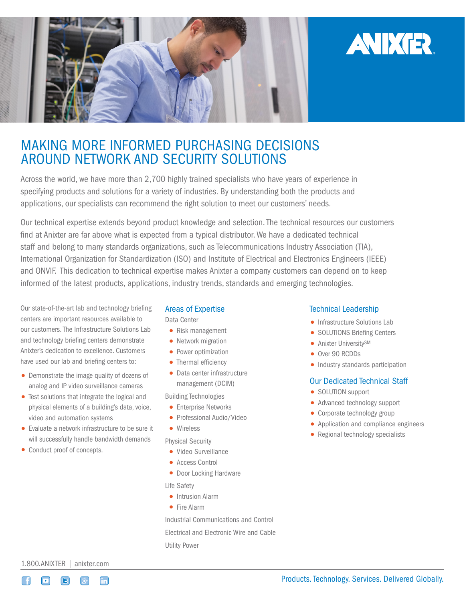

# MAKING MORE INFORMED PURCHASING DECISIONS AROUND NETWORK AND SECURITY SOLUTIONS

Across the world, we have more than 2,700 highly trained specialists who have years of experience in specifying products and solutions for a variety of industries. By understanding both the products and applications, our specialists can recommend the right solution to meet our customers' needs.

Our technical expertise extends beyond product knowledge and selection. The technical resources our customers find at Anixter are far above what is expected from a typical distributor. We have a dedicated technical staff and belong to many standards organizations, such as Telecommunications Industry Association (TIA), International Organization for Standardization (ISO) and Institute of Electrical and Electronics Engineers (IEEE) and ONVIF. This dedication to technical expertise makes Anixter a company customers can depend on to keep informed of the latest products, applications, industry trends, standards and emerging technologies.

Our state-of-the-art lab and technology briefing centers are important resources available to our customers. The Infrastructure Solutions Lab and technology briefing centers demonstrate Anixter's dedication to excellence. Customers have used our lab and briefing centers to:

- Demonstrate the image quality of dozens of analog and IP video surveillance cameras
- Test solutions that integrate the logical and physical elements of a building's data, voice, video and automation systems
- Evaluate a network infrastructure to be sure it will successfully handle bandwidth demands
- Conduct proof of concepts.

#### Areas of Expertise

Data Center

- Risk management
- Network migration
- Power optimization
- Thermal efficiency
- Data center infrastructure management (DCIM)

Building Technologies

- Enterprise Networks
- Professional Audio/Video
- Wireless

#### Physical Security

- Video Surveillance
- Access Control
- Door Locking Hardware

Life Safety

- Intrusion Alarm
- Fire Alarm

Industrial Communications and Control

Electrical and Electronic Wire and Cable Utility Power

## Technical Leadership

• Infrastructure Solutions Lab

**AVIXER** 

- SOLUTIONS Briefing Centers
- Anixter University<sup>SM</sup>
- Over 90 RCDDs
- Industry standards participation

#### Our Dedicated Technical Staff

- SOLUTION support
- Advanced technology support
- Corporate technology group
- Application and compliance engineers
- Regional technology specialists

1.800.ANIXTER | [anixter.com](http://www.anixter.com)